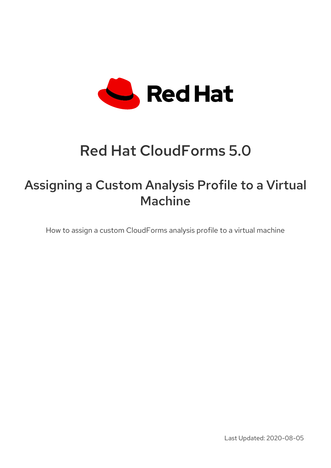

# Red Hat CloudForms 5.0

# Assigning a Custom Analysis Profile to a Virtual Machine

How to assign a custom CloudForms analysis profile to a virtual machine

Last Updated: 2020-08-05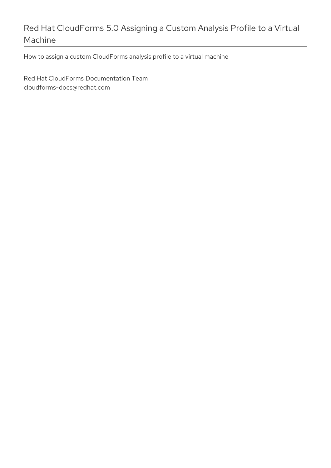## Red Hat CloudForms 5.0 Assigning a Custom Analysis Profile to a Virtual Machine

How to assign a custom CloudForms analysis profile to a virtual machine

Red Hat CloudForms Documentation Team cloudforms-docs@redhat.com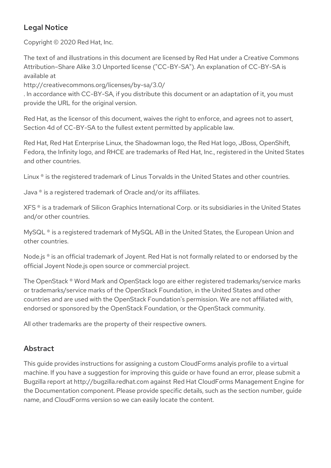### Legal Notice

Copyright © 2020 Red Hat, Inc.

The text of and illustrations in this document are licensed by Red Hat under a Creative Commons Attribution–Share Alike 3.0 Unported license ("CC-BY-SA"). An explanation of CC-BY-SA is available at

http://creativecommons.org/licenses/by-sa/3.0/

. In accordance with CC-BY-SA, if you distribute this document or an adaptation of it, you must provide the URL for the original version.

Red Hat, as the licensor of this document, waives the right to enforce, and agrees not to assert, Section 4d of CC-BY-SA to the fullest extent permitted by applicable law.

Red Hat, Red Hat Enterprise Linux, the Shadowman logo, the Red Hat logo, JBoss, OpenShift, Fedora, the Infinity logo, and RHCE are trademarks of Red Hat, Inc., registered in the United States and other countries.

Linux ® is the registered trademark of Linus Torvalds in the United States and other countries.

Java ® is a registered trademark of Oracle and/or its affiliates.

XFS ® is a trademark of Silicon Graphics International Corp. or its subsidiaries in the United States and/or other countries.

MySQL<sup>®</sup> is a registered trademark of MySQL AB in the United States, the European Union and other countries.

Node.js ® is an official trademark of Joyent. Red Hat is not formally related to or endorsed by the official Joyent Node.js open source or commercial project.

The OpenStack ® Word Mark and OpenStack logo are either registered trademarks/service marks or trademarks/service marks of the OpenStack Foundation, in the United States and other countries and are used with the OpenStack Foundation's permission. We are not affiliated with, endorsed or sponsored by the OpenStack Foundation, or the OpenStack community.

All other trademarks are the property of their respective owners.

### Abstract

This guide provides instructions for assigning a custom CloudForms analyis profile to a virtual machine. If you have a suggestion for improving this guide or have found an error, please submit a Bugzilla report at http://bugzilla.redhat.com against Red Hat CloudForms Management Engine for the Documentation component. Please provide specific details, such as the section number, guide name, and CloudForms version so we can easily locate the content.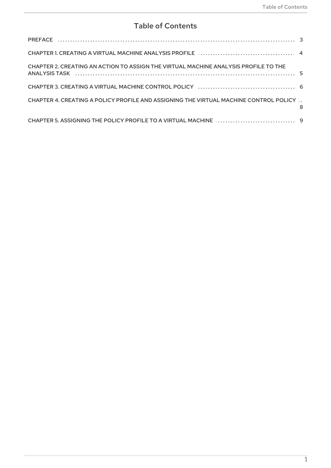### **Table of Contents**

| CHAPTER 2. CREATING AN ACTION TO ASSIGN THE VIRTUAL MACHINE ANALYSIS PROFILE TO THE   |   |
|---------------------------------------------------------------------------------------|---|
|                                                                                       |   |
| CHAPTER 4. CREATING A POLICY PROFILE AND ASSIGNING THE VIRTUAL MACHINE CONTROL POLICY | 8 |
|                                                                                       |   |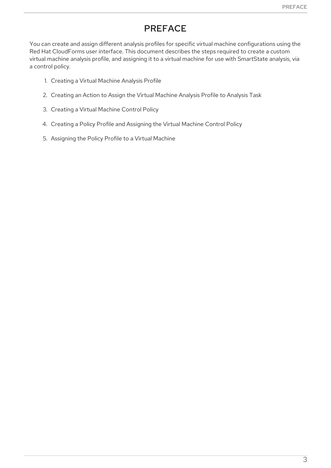### PREFACE

<span id="page-6-0"></span>You can create and assign different analysis profiles for specific virtual machine configurations using the Red Hat CloudForms user interface. This document describes the steps required to create a custom virtual machine analysis profile, and assigning it to a virtual machine for use with SmartState analysis, via a control policy.

- 1. Creating a Virtual Machine Analysis Profile
- 2. Creating an Action to Assign the Virtual Machine Analysis Profile to Analysis Task
- 3. Creating a Virtual Machine Control Policy
- 4. Creating a Policy Profile and Assigning the Virtual Machine Control Policy
- 5. Assigning the Policy Profile to a Virtual Machine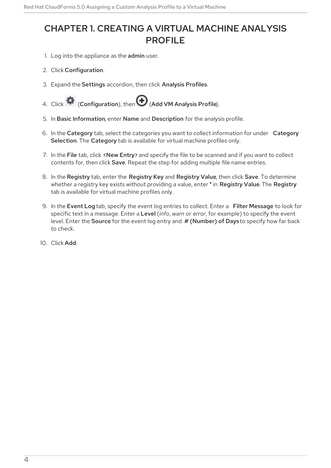### <span id="page-7-1"></span><span id="page-7-0"></span>CHAPTER 1. CREATING A VIRTUAL MACHINE ANALYSIS **PROFILE**

- 1. Log into the appliance as the admin user.
- 2. Click Configuration.
- 3. Expand the Settings accordion, then click Analysis Profiles.
- 4. Click  $\bullet$  (Configuration), then  $\bullet$  (Add VM Analysis Profile).
- 5. In Basic Information, enter Name and Description for the analysis profile.
- 6. In the Category tab, select the categories you want to collect information for under Category Selection. The Category tab is available for virtual machine profiles only.
- 7. In the File tab, click <New Entry> and specify the file to be scanned and if you want to collect contents for, then click Save. Repeat the step for adding multiple file name entries.
- 8. In the Registry tab, enter the Registry Key and Registry Value, then click Save. To determine whether a registry key exists without providing a value, enter **\*** in Registry Value. The Registry tab is available for virtual machine profiles only.
- 9. In the Event Log tab, specify the event log entries to collect. Enter a Filter Message to look for specific text in a message. Enter a Level (*info*, *warn* or *error*, for example) to specify the event level. Enter the Source for the event log entry and # (Number) of Days to specify how far back to check.
- 10. Click Add.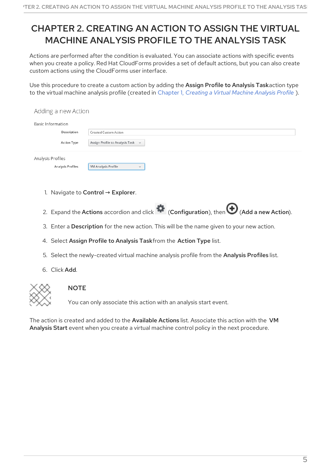# <span id="page-8-1"></span><span id="page-8-0"></span>CHAPTER 2. CREATING AN ACTION TO ASSIGN THE VIRTUAL MACHINE ANALYSIS PROFILE TO THE ANALYSIS TASK

Actions are performed after the condition is evaluated. You can associate actions with specific events when you create a policy. Red Hat CloudForms provides a set of default actions, but you can also create custom actions using the CloudForms user interface.

Use this procedure to create a custom action by adding the Assign Profile to Analysis Taskaction type to the virtual machine analysis profile (created in Chapter 1, *[Creating](#page-7-1) a Virtual Machine Analysis Profile* ).

| Adding a new Action      |                                                 |
|--------------------------|-------------------------------------------------|
| <b>Basic Information</b> |                                                 |
| Description              | Created Custom Action                           |
| <b>Action Type</b>       | Assign Profile to Analysis Task<br>$\checkmark$ |
| Analysis Profiles        |                                                 |
| Analysis Profiles        | <b>VM Analysis Profile</b><br>$\checkmark$      |

- 1. Navigate to Control → Explorer.
- 2. Expand the Actions accordion and click  $\bullet$  (Configuration), then  $\bigoplus$  (Add a new Action).
- 3. Enter a Description for the new action. This will be the name given to your new action.
- 4. Select Assign Profile to Analysis Taskfrom the Action Type list.
- 5. Select the newly-created virtual machine analysis profile from the Analysis Profiles list.
- 6. Click Add.



#### **NOTE**

You can only associate this action with an analysis start event.

The action is created and added to the Available Actions list. Associate this action with the VM Analysis Start event when you create a virtual machine control policy in the next procedure.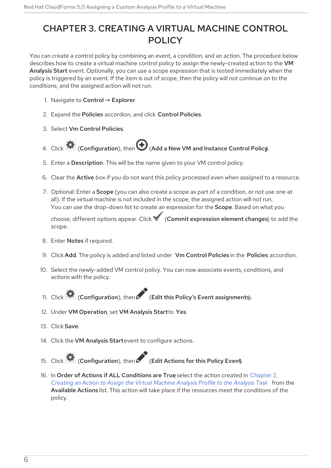## <span id="page-9-1"></span><span id="page-9-0"></span>CHAPTER 3. CREATING A VIRTUAL MACHINE CONTROL **POLICY**

You can create a control policy by combining an event, a condition, and an action. The procedure below describes how to create a virtual machine control policy to assign the newly-created action to the VM Analysis Start event. Optionally, you can use a scope expression that is tested immediately when the policy is triggered by an event. If the item is out of scope, then the policy will not continue on to the conditions, and the assigned action will not run.

- 1. Navigate to Control  $\rightarrow$  Explorer.
- 2. Expand the Policies accordion, and click Control Policies.
- 3. Select Vm Control Policies.
- 4. Click  $\bullet$  (Configuration), then  $\bigoplus$  (Add a New VM and Instance Control Policy).
- 5. Enter a Description. This will be the name given to your VM control policy.
- 6. Clear the Active box if you do not want this policy processed even when assigned to a resource.
- 7. Optional: Enter a Scope (you can also create a scope as part of a condition, or not use one at all). If the virtual machine is not included in the scope, the assigned action will not run. You can use the drop-down list to create an expression for the **Scope**. Based on what you

choose, different options appear. Click (Commit expression element changes) to add the scope.

- 8. Enter Notes if required.
- 9. Click Add. The policy is added and listed under Vm Control Policies in the Policies accordion.
- 10. Select the newly-added VM control policy. You can now associate events, conditions, and actions with the policy.
- 11. Click (Configuration), then (Edit this Policy's Event assignments).
- 12. Under VM Operation, set VM Analysis Startto Yes.
- 13. Click Save.
- 14. Click the VM Analysis Startevent to configure actions.
- 15. Click (Configuration), then (Edit Actions for this Policy Event).

16. In Order of Actions if ALL [Conditions](#page-8-1) are True select the action created in Chapter 2, *Creating an Action to Assign the Virtual Machine Analysis Profile to the Analysis Task* from the Available Actions list. This action will take place if the resources meet the conditions of the policy.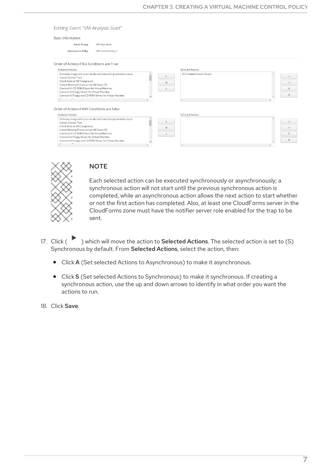#### Editing Event "VM Analysis Start"

#### **Basic Information**

| <b>Event Group</b>        | VM Operation        |
|---------------------------|---------------------|
| <b>Attached to Policy</b> | VM Control Policy 1 |

Order of Actions if ALL Conditions are True

| Available Actions:                                                                                                                                                                                                                                                                                                               | Selected Actions:                  |  |
|----------------------------------------------------------------------------------------------------------------------------------------------------------------------------------------------------------------------------------------------------------------------------------------------------------------------------------|------------------------------------|--|
| Annotate image with scan results and execution prevention status<br>Cancel vCenter Task<br>Check Host or VM Compliance<br>Collect Running Processes on VM Guest OS<br>Connect All CD-ROM Drives for Virtual Machine<br>Connect All Floppy Drives for Virtual Machine<br>Connect All Floppy and CD-ROM Drives for Virtual Machine | (S) Created Custom Action<br>$\ll$ |  |
|                                                                                                                                                                                                                                                                                                                                  |                                    |  |
| Order of Actions if ANY Conditions are False<br>Available Actions:                                                                                                                                                                                                                                                               | Selected Actions:                  |  |



#### **NOTE**

Each selected action can be executed synchronously or asynchronously; a synchronous action will not start until the previous synchronous action is completed, while an asynchronous action allows the next action to start whether or not the first action has completed. Also, at least one CloudForms server in the CloudForms zone must have the notifier server role enabled for the trap to be sent.

- 17. Click ( ) which will move the action to Selected Actions. The selected action is set to (S) Synchronous by default. From Selected Actions, select the action, then:
	- Click A (Set selected Actions to Asynchronous) to make it asynchronous.
	- Click S (Set selected Actions to Synchronous) to make it synchronous. If creating a synchronous action, use the up and down arrows to identify in what order you want the actions to run.
- 18. Click Save.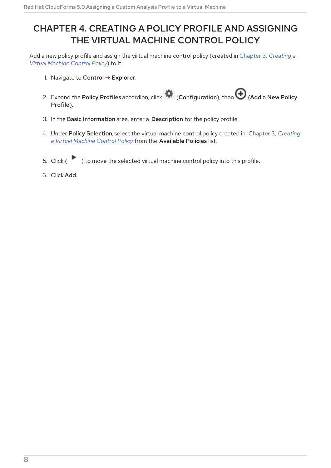## <span id="page-11-1"></span><span id="page-11-0"></span>CHAPTER 4. CREATING A POLICY PROFILE AND ASSIGNING THE VIRTUAL MACHINE CONTROL POLICY

Add a new policy profile and assign the virtual machine control policy [\(created](#page-9-1) in Chapter 3, *Creating a Virtual Machine Control Policy*) to it.

- 1. Navigate to Control  $\rightarrow$  Explorer.
- 2. Expand the Policy Profiles accordion, click  $\bullet$  (Configuration), then  $\bullet$  (Add a New Policy Profile).
- 3. In the Basic Information area, enter a Description for the policy profile.
- 4. Under Policy [Selection](#page-9-1), select the virtual machine control policy created in Chapter 3, *Creating a Virtual Machine Control Policy* from the Available Policies list.
- 5. Click ( $\qquad$ ) to move the selected virtual machine control policy into this profile.
- 6. Click Add.